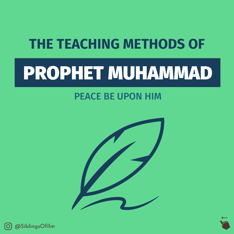## PROPHET MUHAMMAD

### PEACE BE UPON HIM





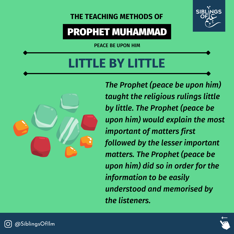### PROPHET MUHAMMAD

PEACE BE UPON HIM

## **LE BY LITT**



*The Prophet (peace be upon him) taught the religious rulings little by little. The Prophet (peace be upon him) would explain the most important of matters first followed by the lesser important matters. The Prophet (peace be upon him) did so in order for the information to be easily understood and memorised by the listeners.*



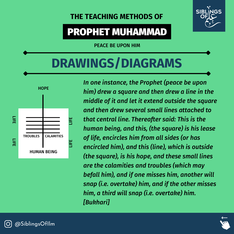

### PROPHET MUHAMMAD

PEACE BE UPON HIM

## **DRAWINGS/DIAGRAMS**



*In one instance, the Prophet (peace be upon him) drew a square and then drew a line in the middle of it and let it extend outside the square and then drew several small lines attached to that central line. Thereafter said: This is the human being, and this, (the square) is his lease of life, encircles him from all sides (or has encircled him), and this (line), which is outside (the square), is his hope, and these small lines are the calamities and troubles (which may befall him), and if one misses him, another will snap (i.e. overtake) him, and if the other misses him, a third will snap (i.e. overtake) him. [Bukhari]*



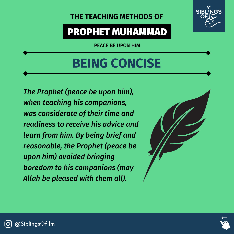### PROPHET MUHAMMAD

PEACE BE UPON HIM

## **BEING CONCISE**

*The Prophet (peace be upon him), when teaching his companions, was considerate of their time and readiness to receive his advice and learn from him. By being brief and reasonable, the Prophet (peace be upon him) avoided bringing boredom to his companions (may Allah be pleased with them all).*





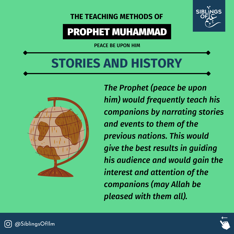

### PROPHET MUHAMMAD

PEACE BE UPON HIM

## **STORIES AND HISTORY**



*The Prophet (peace be upon him) would frequently teach his companions by narrating stories and events to them of the previous nations. This would give the best results in guiding his audience and would gain the interest and attention of the companions (may Allah be pleased with them all).*



@SiblingsOfIlm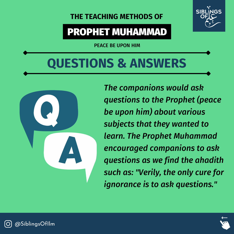

### PROPHET MUHAMMAD

PEACE BE UPON HIM

## **QUESTIONS & ANSWERS**



*The companions would ask questions to the Prophet (peace be upon him) about various subjects that they wanted to learn. The Prophet Muhammad encouraged companions to ask questions as we find the ahadith such as: "Verily, the only cure for ignorance is to ask questions. "*



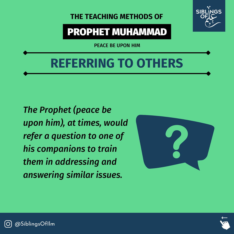### PROPHET MUHAMMAD

PEACE BE UPON HIM

## **REFERRING TO OTHERS**

*The Prophet (peace be upon him), at times, would refer a question to one of his companions to train them in addressing and answering similar issues.*